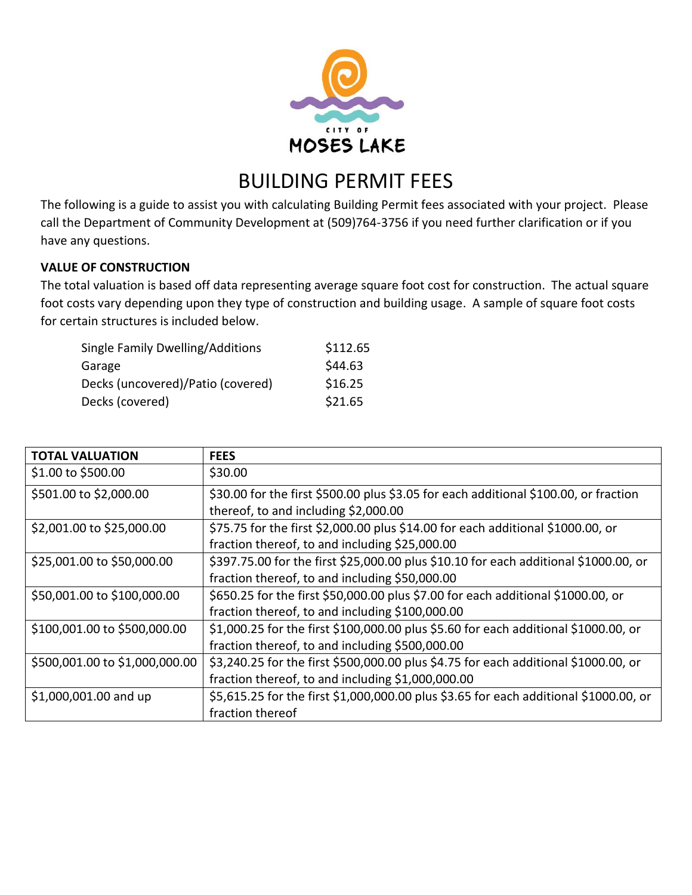

# BUILDING PERMIT FEES

The following is a guide to assist you with calculating Building Permit fees associated with your project. Please call the Department of Community Development at (509)764-3756 if you need further clarification or if you have any questions.

# **VALUE OF CONSTRUCTION**

The total valuation is based off data representing average square foot cost for construction. The actual square foot costs vary depending upon they type of construction and building usage. A sample of square foot costs for certain structures is included below.

| Single Family Dwelling/Additions  | \$112.65 |
|-----------------------------------|----------|
| Garage                            | \$44.63  |
| Decks (uncovered)/Patio (covered) | \$16.25  |
| Decks (covered)                   | \$21.65  |

| <b>TOTAL VALUATION</b>         | <b>FEES</b>                                                                           |
|--------------------------------|---------------------------------------------------------------------------------------|
| \$1.00 to \$500.00             | \$30.00                                                                               |
| \$501.00 to \$2,000.00         | \$30.00 for the first \$500.00 plus \$3.05 for each additional \$100.00, or fraction  |
|                                | thereof, to and including \$2,000.00                                                  |
| \$2,001.00 to \$25,000.00      | \$75.75 for the first \$2,000.00 plus \$14.00 for each additional \$1000.00, or       |
|                                | fraction thereof, to and including \$25,000.00                                        |
| \$25,001.00 to \$50,000.00     | \$397.75.00 for the first \$25,000.00 plus \$10.10 for each additional \$1000.00, or  |
|                                | fraction thereof, to and including \$50,000.00                                        |
| \$50,001.00 to \$100,000.00    | \$650.25 for the first \$50,000.00 plus \$7.00 for each additional \$1000.00, or      |
|                                | fraction thereof, to and including \$100,000.00                                       |
| \$100,001.00 to \$500,000.00   | \$1,000.25 for the first \$100,000.00 plus \$5.60 for each additional \$1000.00, or   |
|                                | fraction thereof, to and including \$500,000.00                                       |
| \$500,001.00 to \$1,000,000.00 | \$3,240.25 for the first \$500,000.00 plus \$4.75 for each additional \$1000.00, or   |
|                                | fraction thereof, to and including \$1,000,000.00                                     |
| \$1,000,001.00 and up          | \$5,615.25 for the first \$1,000,000.00 plus \$3.65 for each additional \$1000.00, or |
|                                | fraction thereof                                                                      |